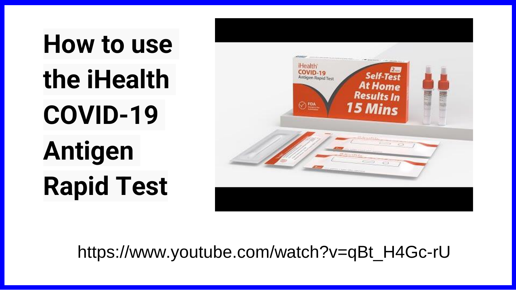**How to use the iHealth COVID-19 Antigen Rapid Test**



https://www.youtube.com/watch?v=qBt\_H4Gc-rU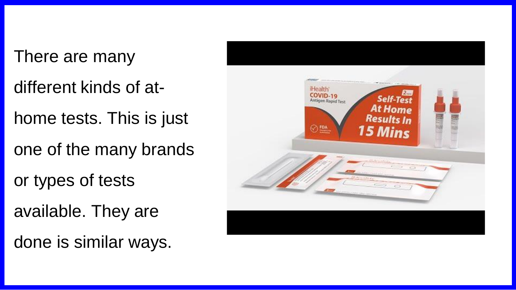There are many

- different kinds of at-
- home tests. This is just
- one of the many brands
- or types of tests
- available. They are
- done is similar ways.

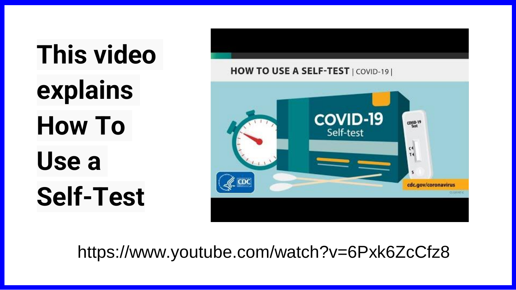**This video explains How To Use a Self-Test**



https://www.youtube.com/watch?v=6Pxk6ZcCfz8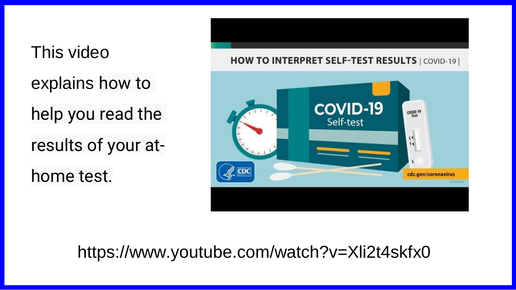This video explains how to help you read the results of your athome test.

HOW TO INTERPRET SELF-TEST RESULTS | COVID-19 | **COVID-19** COVID-19 Self-test  $\frac{1}{14}$ cdc.gov/coronavirus ESTATIO-D

### https://www.youtube.com/watch?v=Xli2t4skfx0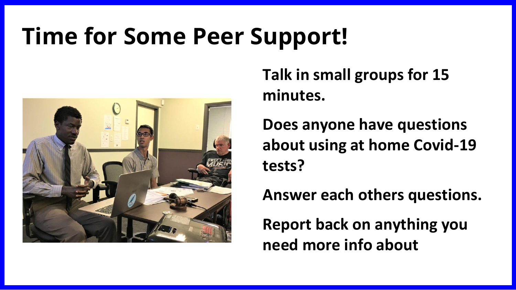# **Time for Some Peer Support!**



**Talk in small groups for 15 minutes.**

**Does anyone have questions about using at home Covid-19 tests?**

**Answer each others questions.**

**Report back on anything you need more info about**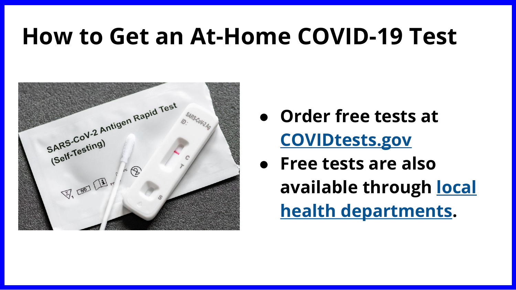## **How to Get an At-Home COVID-19 Test**



- **Order free tests at [COVIDtests.gov](https://www.covidtests.gov/)**
- **Free tests are also [available through local](https://www.cdc.gov/publichealthgateway/healthdirectories/healthdepartments.html)  health departments.**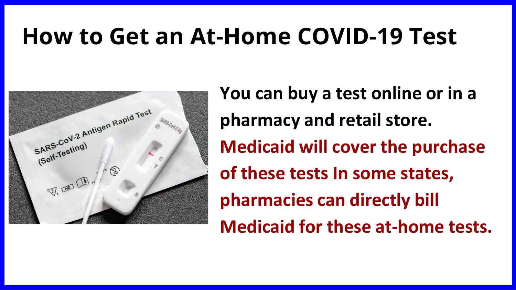## **How to Get an At-Home COVID-19 Test**



**You can buy a test online or in a pharmacy and retail store. Medicaid will cover the purchase of these tests In some states, pharmacies can directly bill Medicaid for these at-home tests.**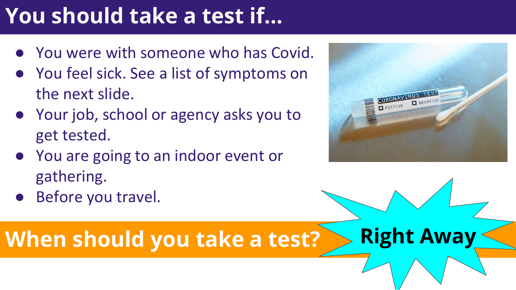# **You should take a test if…**

- You were with someone who has Covid.
- You feel sick. See a list of symptoms on the next slide.
- Your job, school or agency asks you to get tested.
- You are going to an indoor event or gathering.
- Before you travel.

**When should you take a test? Right Away** 

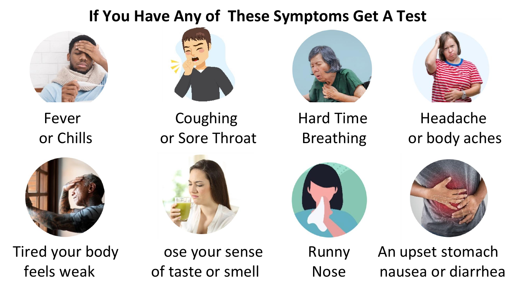### **If You Have Any of These Symptoms Get A Test**







Fever Coughing Hard Time Headache



or Chills or Sore Throat Breathing or body aches



Tired your body ose your sense Bunny An upset stomach feels weak of taste or smell Nose nausea or diarrhea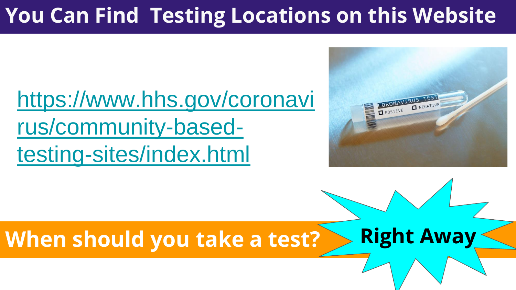### **You Can Find Testing Locations on this Website**

# [https://www.hhs.gov/coronavi](https://www.hhs.gov/coronavirus/community-based-testing-sites/index.html) rus/community-basedtesting-sites/index.html



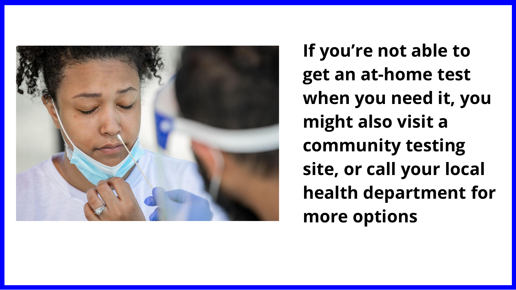

**If you're not able to get an at-home test when you need it, you might also visit a community testing site, or call your local health department for more options**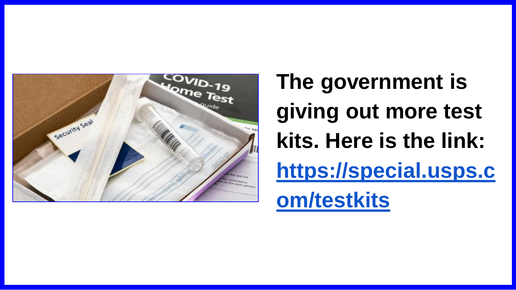

**The government is giving out more test kits. Here is the link: [https://special.usps.c](https://special.usps.com/testkits) om/testkits**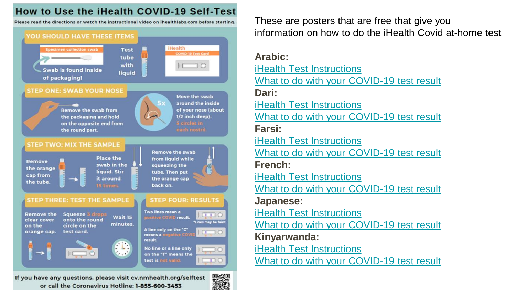#### How to Use the iHealth COVID-19 Self-Test

Please read the directions or watch the instructional video on ihealthlabs.com before starting.



If you have any questions, please visit cv.nmhealth.org/selftest or call the Coronavirus Hotline: 1-855-600-3453



These are posters that are free that give you information on how to do the iHealth Covid at-home test

**Arabic:** iHealth [Test Instructions](https://www.cabq.gov/office-of-equity-inclusion/documents/ihealth-instructions_1-12-22-_arabic.pdf) [What to do with your COVID-19 test result](https://www.cabq.gov/office-of-equity-inclusion/documents/covid-19-at-home-test-results_1-12-22-1-_arabic.pdf) **Dari:** iHealth [Test Instructions](https://www.cabq.gov/office-of-equity-inclusion/documents/ihealth-instructions_1-12-22_dar.pdf) [What to do with your COVID-19 test result](https://www.cabq.gov/office-of-equity-inclusion/documents/covid-19-at-home-test-results_1-12-22-1-_dari.pdf) **Farsi:** iHealth [Test Instructions](https://www.cabq.gov/office-of-equity-inclusion/documents/ihealth-instructions_1-12-22_farsi.pdf) [What to do with your COVID-19 test result](https://www.cabq.gov/office-of-equity-inclusion/documents/covid-19-at-home-test-results_1-12-22-1-_farsi.pdf) **French:** iHealth [Test Instructions](https://www.cabq.gov/office-of-equity-inclusion/documents/ihealth-instructions_1-12-22_french.pdf) [What to do with your COVID-19 test result](https://www.cabq.gov/office-of-equity-inclusion/documents/covid-19-at-home-test-results_1-12-22-1-_french.pdf) **Japanese:** iHealth [Test Instructions](https://www.cabq.gov/office-of-equity-inclusion/documents/ihealth-instructions_1-12-22_ja-jp.pdf) [What to do with your COVID-19 test result](https://www.cabq.gov/office-of-equity-inclusion/documents/covid-19-at-home-test-results_1-12-22-1-_japanese.pdf) **Kinyarwanda:** iHealth [Test Instructions](https://www.cabq.gov/office-of-equity-inclusion/documents/ihealth-instructions_1-12-22_kinyarwanda.pdf) [What to do with your COVID-19 test result](https://www.cabq.gov/office-of-equity-inclusion/documents/covid-19-at-home-test-results_1-12-22-1-_kinyarwanda.pdf)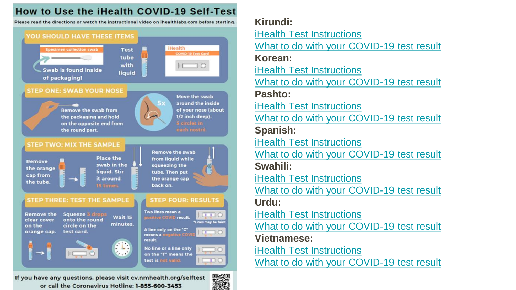#### How to Use the iHealth COVID-19 Self-Test

Please read the directions or watch the instructional video on ihealthlabs.com before starting.



or call the Coronavirus Hotline: 1-855-600-3453

**Kirundi:** iHealth [Test Instructions](https://www.cabq.gov/office-of-equity-inclusion/documents/ihealth-instructions_1-12-22_kirundi.pdf) [What to do with your COVID-19 test result](https://www.cabq.gov/office-of-equity-inclusion/documents/covid-19-at-home-test-results_1-12-22-1-_kirundi.pdf) **Korean:** iHealth [Test Instructions](https://www.cabq.gov/office-of-equity-inclusion/documents/ihealth-instructions_1-12-22_korean.pdf) [What to do with your COVID-19 test result](https://www.cabq.gov/office-of-equity-inclusion/documents/covid-19-at-home-test-results_1-12-22-1-_korean.pdf) **Pashto:** iHealth [Test Instructions](https://www.cabq.gov/office-of-equity-inclusion/documents/ihealth-instructions_1-12-22-_pashto.pdf) [What to do with your COVID-19 test result](https://www.cabq.gov/office-of-equity-inclusion/documents/covid-19-at-home-test-results_1-12-22_pashto.pdf) **Spanish:** iHealth [Test Instructions](https://www.cabq.gov/office-of-equity-inclusion/documents/ihealth-instructions_1-12-22-spanish.pdf) [What to do with your COVID-19 test result](https://www.cabq.gov/office-of-equity-inclusion/documents/covid-19-at-home-test-results_1-12-22-2_spanish.pdf) **Swahili:** iHealth [Test Instructions](https://www.cabq.gov/office-of-equity-inclusion/documents/ihealth-instructions_1-12-22_swahili.pdf) [What to do with your COVID-19 test result](https://www.cabq.gov/office-of-equity-inclusion/documents/covid-19-at-home-test-results_1-12-22-1-_swahili.pdf) **Urdu:** iHealth [Test Instructions](https://www.cabq.gov/office-of-equity-inclusion/documents/ihealth-instructions_1-12-22_urdu.pdf) [What to do with your COVID-19 test result](https://www.cabq.gov/office-of-equity-inclusion/documents/covid-19-at-home-test-results_1-12-22-1-_urdu.pdf) **Vietnamese:** iHealth [Test Instructions](https://www.cabq.gov/office-of-equity-inclusion/documents/ihealth-instructions_1-12-22_vietnamese.pdf) [What to do with your COVID-19 test result](https://www.cabq.gov/office-of-equity-inclusion/documents/covid-19-at-home-test-results_1-12-22-1-_vietnamese.pdf)